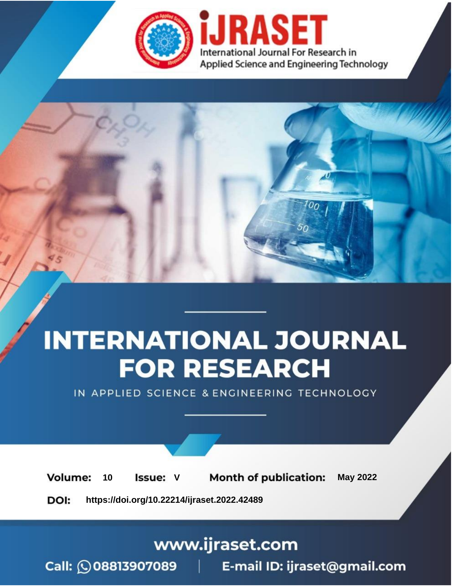

# **INTERNATIONAL JOURNAL FOR RESEARCH**

IN APPLIED SCIENCE & ENGINEERING TECHNOLOGY

Volume: **Month of publication: May 2022** 10 **Issue: V** 

DOI: https://doi.org/10.22214/ijraset.2022.42489

www.ijraset.com

Call: 008813907089 | E-mail ID: ijraset@gmail.com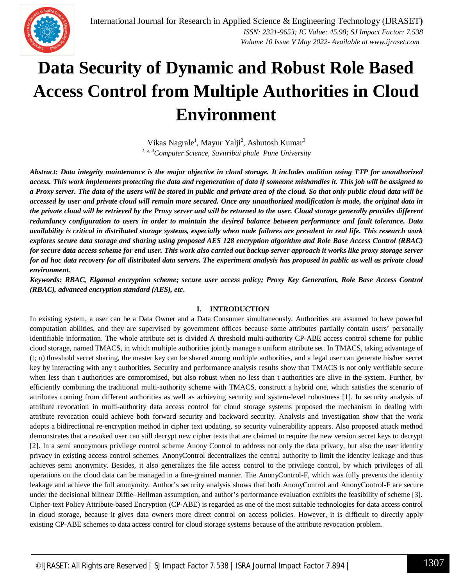### **Data Security of Dynamic and Robust Role Based Access Control from Multiple Authorities in Cloud Environment**

Vikas Nagrale<sup>1</sup>, Mayur Yalji<sup>2</sup>, Ashutosh Kumar<sup>3</sup> *1, 2, 3Computer Science, Savitribai phule Pune University*

*Abstract: Data integrity maintenance is the major objective in cloud storage. It includes audition using TTP for unauthorized access. This work implements protecting the data and regeneration of data if someone mishandles it. This job will be assigned to a Proxy server. The data of the users will be stored in public and private area of the cloud. So that only public cloud data will be accessed by user and private cloud will remain more secured. Once any unauthorized modification is made, the original data in the private cloud will be retrieved by the Proxy server and will be returned to the user. Cloud storage generally provides different redundancy configuration to users in order to maintain the desired balance between performance and fault tolerance. Data availability is critical in distributed storage systems, especially when node failures are prevalent in real life. This research work explores secure data storage and sharing using proposed AES 128 encryption algorithm and Role Base Access Control (RBAC) for secure data access scheme for end user. This work also carried out backup server approach it works like proxy storage server for ad hoc data recovery for all distributed data servers. The experiment analysis has proposed in public as well as private cloud environment.*

*Keywords: RBAC, Elgamal encryption scheme; secure user access policy; Proxy Key Generation, Role Base Access Control (RBAC), advanced encryption standard (AES), etc***.**

#### **I. INTRODUCTION**

In existing system, a user can be a Data Owner and a Data Consumer simultaneously. Authorities are assumed to have powerful computation abilities, and they are supervised by government offices because some attributes partially contain users' personally identifiable information. The whole attribute set is divided A threshold multi-authority CP-ABE access control scheme for public cloud storage, named TMACS, in which multiple authorities jointly manage a uniform attribute set. In TMACS, taking advantage of (t; n) threshold secret sharing, the master key can be shared among multiple authorities, and a legal user can generate his/her secret key by interacting with any t authorities. Security and performance analysis results show that TMACS is not only verifiable secure when less than t authorities are compromised, but also robust when no less than t authorities are alive in the system. Further, by efficiently combining the traditional multi-authority scheme with TMACS, construct a hybrid one, which satisfies the scenario of attributes coming from different authorities as well as achieving security and system-level robustness [1]. In security analysis of attribute revocation in multi-authority data access control for cloud storage systems proposed the mechanism in dealing with attribute revocation could achieve both forward security and backward security. Analysis and investigation show that the work adopts a bidirectional re-encryption method in cipher text updating, so security vulnerability appears. Also proposed attack method demonstrates that a revoked user can still decrypt new cipher texts that are claimed to require the new version secret keys to decrypt [2]. In a semi anonymous privilege control scheme Anony Control to address not only the data privacy, but also the user identity privacy in existing access control schemes. AnonyControl decentralizes the central authority to limit the identity leakage and thus achieves semi anonymity. Besides, it also generalizes the file access control to the privilege control, by which privileges of all operations on the cloud data can be managed in a fine-grained manner. The AnonyControl-F, which was fully prevents the identity leakage and achieve the full anonymity. Author's security analysis shows that both AnonyControl and AnonyControl-F are secure under the decisional bilinear Diffie–Hellman assumption, and author's performance evaluation exhibits the feasibility of scheme [3]. Cipher-text Policy Attribute-based Encryption (CP-ABE) is regarded as one of the most suitable technologies for data access control in cloud storage, because it gives data owners more direct control on access policies. However, it is difficult to directly apply existing CP-ABE schemes to data access control for cloud storage systems because of the attribute revocation problem.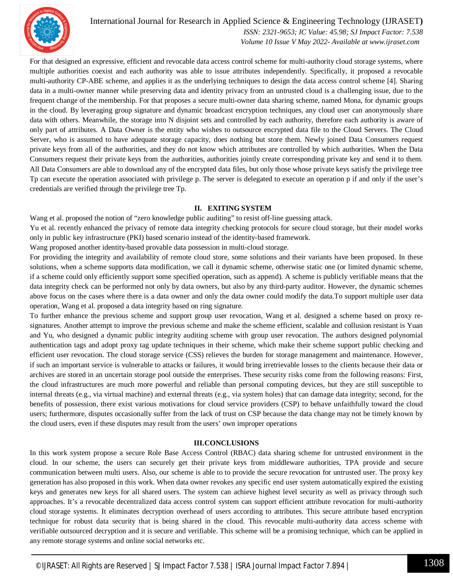

International Journal for Research in Applied Science & Engineering Technology (IJRASET**)**

 *ISSN: 2321-9653; IC Value: 45.98; SJ Impact Factor: 7.538 Volume 10 Issue V May 2022- Available at www.ijraset.com*

For that designed an expressive, efficient and revocable data access control scheme for multi-authority cloud storage systems, where multiple authorities coexist and each authority was able to issue attributes independently. Specifically, it proposed a revocable multi-authority CP-ABE scheme, and applies it as the underlying techniques to design the data access control scheme [4]. Sharing data in a multi-owner manner while preserving data and identity privacy from an untrusted cloud is a challenging issue, due to the frequent change of the membership. For that proposes a secure multi-owner data sharing scheme, named Mona, for dynamic groups in the cloud. By leveraging group signature and dynamic broadcast encryption techniques, any cloud user can anonymously share data with others. Meanwhile, the storage into N disjoint sets and controlled by each authority, therefore each authority is aware of only part of attributes. A Data Owner is the entity who wishes to outsource encrypted data file to the Cloud Servers. The Cloud Server, who is assumed to have adequate storage capacity, does nothing but store them. Newly joined Data Consumers request private keys from all of the authorities, and they do not know which attributes are controlled by which authorities. When the Data Consumers request their private keys from the authorities, authorities jointly create corresponding private key and send it to them. All Data Consumers are able to download any of the encrypted data files, but only those whose private keys satisfy the privilege tree Tp can execute the operation associated with privilege p. The server is delegated to execute an operation p if and only if the user's credentials are verified through the privilege tree Tp.

#### **II. EXITING SYSTEM**

Wang et al. proposed the notion of "zero knowledge public auditing" to resist off-line guessing attack.

Yu et al. recently enhanced the privacy of remote data integrity checking protocols for secure cloud storage, but their model works only in public key infrastructure (PKI) based scenario instead of the identity-based framework.

Wang proposed another identity-based provable data possession in multi-cloud storage.

For providing the integrity and availability of remote cloud store, some solutions and their variants have been proposed. In these solutions, when a scheme supports data modification, we call it dynamic scheme, otherwise static one (or limited dynamic scheme, if a scheme could only efficiently support some specified operation, such as append). A scheme is publicly verifiable means that the data integrity check can be performed not only by data owners, but also by any third-party auditor. However, the dynamic schemes above focus on the cases where there is a data owner and only the data owner could modify the data.To support multiple user data operation, Wang et al. proposed a data integrity based on ring signature.

To further enhance the previous scheme and support group user revocation, Wang et al. designed a scheme based on proxy resignatures. Another attempt to improve the previous scheme and make the scheme efficient, scalable and collusion resistant is Yuan and Yu, who designed a dynamic public integrity auditing scheme with group user revocation. The authors designed polynomial authentication tags and adopt proxy tag update techniques in their scheme, which make their scheme support public checking and efficient user revocation. The cloud storage service (CSS) relieves the burden for storage management and maintenance. However, if such an important service is vulnerable to attacks or failures, it would bring irretrievable losses to the clients because their data or archives are stored in an uncertain storage pool outside the enterprises. These security risks come from the following reasons: First, the cloud infrastructures are much more powerful and reliable than personal computing devices, but they are still susceptible to internal threats (e.g., via virtual machine) and external threats (e.g., via system holes) that can damage data integrity; second, for the benefits of possession, there exist various motivations for cloud service providers (CSP) to behave unfaithfully toward the cloud users; furthermore, disputes occasionally suffer from the lack of trust on CSP because the data change may not be timely known by the cloud users, even if these disputes may result from the users' own improper operations

#### **III.CONCLUSIONS**

In this work system propose a secure Role Base Access Control (RBAC) data sharing scheme for untrusted environment in the cloud. In our scheme, the users can securely get their private keys from middleware authorities, TPA provide and secure communication between multi users. Also, our scheme is able to to provide the secure revocation for untrusted user. The proxy key generation has also proposed in this work. When data owner revokes any specific end user system automatically expired the existing keys and generates new keys for all shared users. The system can achieve highest level security as well as privacy through such approaches. It's a revocable decentralized data access control system can support efficient attribute revocation for multi-authority cloud storage systems. It eliminates decryption overhead of users according to attributes. This secure attribute based encryption technique for robust data security that is being shared in the cloud. This revocable multi-authority data access scheme with verifiable outsourced decryption and it is secure and verifiable. This scheme will be a promising technique, which can be applied in any remote storage systems and online social networks etc.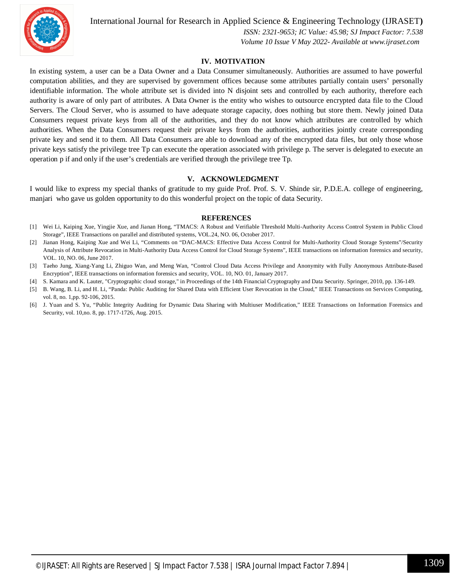

International Journal for Research in Applied Science & Engineering Technology (IJRASET**)**

 *ISSN: 2321-9653; IC Value: 45.98; SJ Impact Factor: 7.538 Volume 10 Issue V May 2022- Available at www.ijraset.com*

#### **IV. MOTIVATION**

In existing system, a user can be a Data Owner and a Data Consumer simultaneously. Authorities are assumed to have powerful computation abilities, and they are supervised by government offices because some attributes partially contain users' personally identifiable information. The whole attribute set is divided into N disjoint sets and controlled by each authority, therefore each authority is aware of only part of attributes. A Data Owner is the entity who wishes to outsource encrypted data file to the Cloud Servers. The Cloud Server, who is assumed to have adequate storage capacity, does nothing but store them. Newly joined Data Consumers request private keys from all of the authorities, and they do not know which attributes are controlled by which authorities. When the Data Consumers request their private keys from the authorities, authorities jointly create corresponding private key and send it to them. All Data Consumers are able to download any of the encrypted data files, but only those whose private keys satisfy the privilege tree Tp can execute the operation associated with privilege p. The server is delegated to execute an operation p if and only if the user's credentials are verified through the privilege tree Tp.

#### **V. ACKNOWLEDGMENT**

I would like to express my special thanks of gratitude to my guide Prof. Prof. S. V. Shinde sir, P.D.E.A. college of engineering, manjari who gave us golden opportunity to do this wonderful project on the topic of data Security.

#### **REFERENCES**

- [1] Wei Li, Kaiping Xue, Yingjie Xue, and Jianan Hong, "TMACS: A Robust and Verifiable Threshold Multi-Authority Access Control System in Public Cloud Storage", IEEE Transactions on parallel and distributed systems, VOL.24, NO. 06, October 2017.
- [2] Jianan Hong, Kaiping Xue and Wei Li, "Comments on "DAC-MACS: Effective Data Access Control for Multi-Authority Cloud Storage Systems"/Security Analysis of Attribute Revocation in Multi-Authority Data Access Control for Cloud Storage Systems", IEEE transactions on information forensics and security, VOL. 10, NO. 06, June 2017.
- [3] Taeho Jung, Xiang-Yang Li, Zhiguo Wan, and Meng Wan, "Control Cloud Data Access Privilege and Anonymity with Fully Anonymous Attribute-Based Encryption", IEEE transactions on information forensics and security, VOL. 10, NO. 01, January 2017.
- [4] S. Kamara and K. Lauter, "Cryptographic cloud storage," in Proceedings of the 14th Financial Cryptography and Data Security. Springer, 2010, pp. 136-149.
- [5] B. Wang, B. Li, and H. Li, "Panda: Public Auditing for Shared Data with Efficient User Revocation in the Cloud," IEEE Transactions on Services Computing, vol. 8, no. 1,pp. 92-106, 2015.
- [6] J. Yuan and S. Yu, "Public Integrity Auditing for Dynamic Data Sharing with Multiuser Modification," IEEE Transactions on Information Forensics and Security, vol. 10,no. 8, pp. 1717-1726, Aug. 2015.